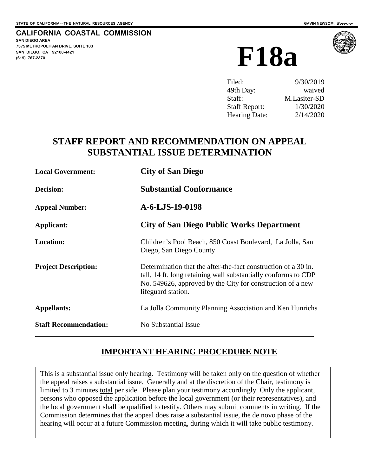#### **CALIFORNIA COASTAL COMMISSION**

**SAN DIEGO AREA 7575 METROPOLITAN DRIVE, SUITE 103 SAN DIEGO, CA 92108-4421**





| Filed:               | 9/30/2019    |
|----------------------|--------------|
| 49th Day:            | waived       |
| Staff:               | M.Lasiter-SD |
| <b>Staff Report:</b> | 1/30/2020    |
| <b>Hearing Date:</b> | 2/14/2020    |

# **STAFF REPORT AND RECOMMENDATION ON APPEAL SUBSTANTIAL ISSUE DETERMINATION**

| <b>Local Government:</b>     | <b>City of San Diego</b><br><b>Substantial Conformance</b>                                                                                                                                                           |  |
|------------------------------|----------------------------------------------------------------------------------------------------------------------------------------------------------------------------------------------------------------------|--|
| Decision:                    |                                                                                                                                                                                                                      |  |
| <b>Appeal Number:</b>        | A-6-LJS-19-0198                                                                                                                                                                                                      |  |
| Applicant:                   | <b>City of San Diego Public Works Department</b>                                                                                                                                                                     |  |
| <b>Location:</b>             | Children's Pool Beach, 850 Coast Boulevard, La Jolla, San<br>Diego, San Diego County                                                                                                                                 |  |
| <b>Project Description:</b>  | Determination that the after-the-fact construction of a 30 in.<br>tall, 14 ft. long retaining wall substantially conforms to CDP<br>No. 549626, approved by the City for construction of a new<br>lifeguard station. |  |
| <b>Appellants:</b>           | La Jolla Community Planning Association and Ken Hunrichs                                                                                                                                                             |  |
| <b>Staff Recommendation:</b> | No Substantial Issue                                                                                                                                                                                                 |  |

## **IMPORTANT HEARING PROCEDURE NOTE**

This is a substantial issue only hearing. Testimony will be taken only on the question of whether the appeal raises a substantial issue. Generally and at the discretion of the Chair, testimony is limited to 3 minutes total per side. Please plan your testimony accordingly. Only the applicant, persons who opposed the application before the local government (or their representatives), and the local government shall be qualified to testify. Others may submit comments in writing. If the Commission determines that the appeal does raise a substantial issue, the de novo phase of the hearing will occur at a future Commission meeting, during which it will take public testimony.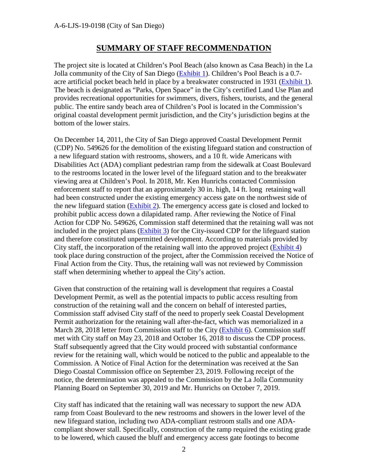### **SUMMARY OF STAFF RECOMMENDATION**

The project site is located at Children's Pool Beach (also known as Casa Beach) in the La Jolla community of the City of San Diego [\(Exhibit 1\)](https://documents.coastal.ca.gov/reports/2020/2/f18a/f18a-2-2020-exhibits.pdf). Children's Pool Beach is a 0.7 acre artificial pocket beach held in place by a breakwater constructed in 1931 [\(Exhibit 1\)](https://documents.coastal.ca.gov/reports/2020/2/f18a/f18a-2-2020-exhibits.pdf). The beach is designated as "Parks, Open Space" in the City's certified Land Use Plan and provides recreational opportunities for swimmers, divers, fishers, tourists, and the general public. The entire sandy beach area of Children's Pool is located in the Commission's original coastal development permit jurisdiction, and the City's jurisdiction begins at the bottom of the lower stairs.

On December 14, 2011, the City of San Diego approved Coastal Development Permit (CDP) No. 549626 for the demolition of the existing lifeguard station and construction of a new lifeguard station with restrooms, showers, and a 10 ft. wide Americans with Disabilities Act (ADA) compliant pedestrian ramp from the sidewalk at Coast Boulevard to the restrooms located in the lower level of the lifeguard station and to the breakwater viewing area at Children's Pool. In 2018, Mr. Ken Hunrichs contacted Commission enforcement staff to report that an approximately 30 in. high, 14 ft. long retaining wall had been constructed under the existing emergency access gate on the northwest side of the new lifeguard station [\(Exhibit 2\)](https://documents.coastal.ca.gov/reports/2020/2/f18a/f18a-2-2020-exhibits.pdf). The emergency access gate is closed and locked to prohibit public access down a dilapidated ramp. After reviewing the Notice of Final Action for CDP No. 549626, Commission staff determined that the retaining wall was not included in the project plans [\(Exhibit 3\)](https://documents.coastal.ca.gov/reports/2020/2/f18a/f18a-2-2020-exhibits.pdf) for the City-issued CDP for the lifeguard station and therefore constituted unpermitted development. According to materials provided by City staff, the incorporation of the retaining wall into the approved project  $(Exhibit 4)$ took place during construction of the project, after the Commission received the Notice of Final Action from the City. Thus, the retaining wall was not reviewed by Commission staff when determining whether to appeal the City's action.

Given that construction of the retaining wall is development that requires a Coastal Development Permit, as well as the potential impacts to public access resulting from construction of the retaining wall and the concern on behalf of interested parties, Commission staff advised City staff of the need to properly seek Coastal Development Permit authorization for the retaining wall after-the-fact, which was memorialized in a March 28, 2018 letter from Commission staff to the City [\(Exhibit 6\)](https://documents.coastal.ca.gov/reports/2020/2/f18a/f18a-2-2020-exhibits.pdf). Commission staff met with City staff on May 23, 2018 and October 16, 2018 to discuss the CDP process. Staff subsequently agreed that the City would proceed with substantial conformance review for the retaining wall, which would be noticed to the public and appealable to the Commission. A Notice of Final Action for the determination was received at the San Diego Coastal Commission office on September 23, 2019. Following receipt of the notice, the determination was appealed to the Commission by the La Jolla Community Planning Board on September 30, 2019 and Mr. Hunrichs on October 7, 2019.

City staff has indicated that the retaining wall was necessary to support the new ADA ramp from Coast Boulevard to the new restrooms and showers in the lower level of the new lifeguard station, including two ADA-compliant restroom stalls and one ADAcompliant shower stall. Specifically, construction of the ramp required the existing grade to be lowered, which caused the bluff and emergency access gate footings to become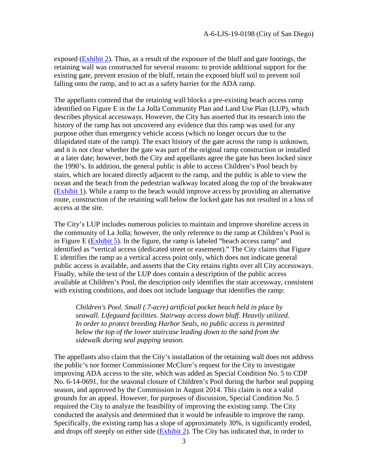exposed [\(Exhibit 2\)](https://documents.coastal.ca.gov/reports/2020/2/f18a/f18a-2-2020-exhibits.pdf). Thus, as a result of the exposure of the bluff and gate footings, the retaining wall was constructed for several reasons: to provide additional support for the existing gate, prevent erosion of the bluff, retain the exposed bluff soil to prevent soil falling onto the ramp, and to act as a safety barrier for the ADA ramp.

The appellants contend that the retaining wall blocks a pre-existing beach access ramp identified on Figure E in the La Jolla Community Plan and Land Use Plan (LUP), which describes physical accessways. However, the City has asserted that its research into the history of the ramp has not uncovered any evidence that this ramp was used for any purpose other than emergency vehicle access (which no longer occurs due to the dilapidated state of the ramp). The exact history of the gate across the ramp is unknown, and it is not clear whether the gate was part of the original ramp construction or installed at a later date; however, both the City and appellants agree the gate has been locked since the 1990's. In addition, the general public is able to access Children's Pool beach by stairs, which are located directly adjacent to the ramp, and the public is able to view the ocean and the beach from the pedestrian walkway located along the top of the breakwater [\(Exhibit 1\)](https://documents.coastal.ca.gov/reports/2020/2/f18a/f18a-2-2020-exhibits.pdf). While a ramp to the beach would improve access by providing an alternative route, construction of the retaining wall below the locked gate has not resulted in a loss of access at the site.

The City's LUP includes numerous policies to maintain and improve shoreline access in the community of La Jolla; however, the only reference to the ramp at Children's Pool is in Figure E ( $\overline{Exhibit 5}$ ). In the figure, the ramp is labeled "beach access ramp" and identified as "vertical access (dedicated street or easement)." The City claims that Figure E identifies the ramp as a vertical access point only, which does not indicate general public access is available, and asserts that the City retains rights over all City accessways. Finally, while the text of the LUP does contain a description of the public access available at Children's Pool, the description only identifies the stair accessway, consistent with existing conditions, and does not include language that identifies the ramp:

*Children's Pool. Small (.7-acre) artificial pocket beach held in place by seawall. Lifeguard facilities. Stairway access down bluff. Heavily utilized. In order to protect breeding Harbor Seals, no public access is permitted below the top of the lower staircase leading down to the sand from the sidewalk during seal pupping season.* 

The appellants also claim that the City's installation of the retaining wall does not address the public's nor former Commissioner McClure's request for the City to investigate improving ADA access to the site, which was added as Special Condition No. 5 to CDP No. 6-14-0691, for the seasonal closure of Children's Pool during the harbor seal pupping season, and approved by the Commission in August 2014. This claim is not a valid grounds for an appeal. However, for purposes of discussion, Special Condition No. 5 required the City to analyze the feasibility of improving the existing ramp. The City conducted the analysis and determined that it would be infeasible to improve the ramp. Specifically, the existing ramp has a slope of approximately 30%, is significantly eroded, and drops off steeply on either side [\(Exhibit 2\)](https://documents.coastal.ca.gov/reports/2020/2/f18a/f18a-2-2020-exhibits.pdf). The City has indicated that, in order to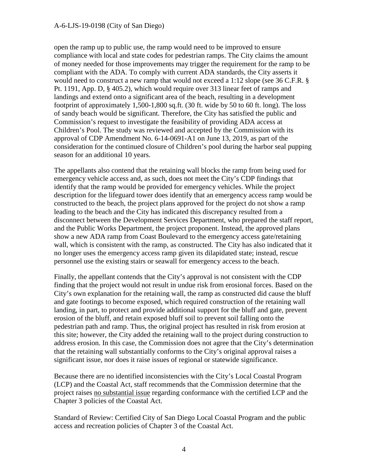open the ramp up to public use, the ramp would need to be improved to ensure compliance with local and state codes for pedestrian ramps. The City claims the amount of money needed for those improvements may trigger the requirement for the ramp to be compliant with the ADA. To comply with current ADA standards, the City asserts it would need to construct a new ramp that would not exceed a 1:12 slope (see 36 C.F.R. § Pt. 1191, App. D, § 405.2), which would require over 313 linear feet of ramps and landings and extend onto a significant area of the beach, resulting in a development footprint of approximately 1,500-1,800 sq.ft. (30 ft. wide by 50 to 60 ft. long). The loss of sandy beach would be significant. Therefore, the City has satisfied the public and Commission's request to investigate the feasibility of providing ADA access at Children's Pool. The study was reviewed and accepted by the Commission with its approval of CDP Amendment No. 6-14-0691-A1 on June 13, 2019, as part of the consideration for the continued closure of Children's pool during the harbor seal pupping season for an additional 10 years.

The appellants also contend that the retaining wall blocks the ramp from being used for emergency vehicle access and, as such, does not meet the City's CDP findings that identify that the ramp would be provided for emergency vehicles. While the project description for the lifeguard tower does identify that an emergency access ramp would be constructed to the beach, the project plans approved for the project do not show a ramp leading to the beach and the City has indicated this discrepancy resulted from a disconnect between the Development Services Department, who prepared the staff report, and the Public Works Department, the project proponent. Instead, the approved plans show a new ADA ramp from Coast Boulevard to the emergency access gate/retaining wall, which is consistent with the ramp, as constructed. The City has also indicated that it no longer uses the emergency access ramp given its dilapidated state; instead, rescue personnel use the existing stairs or seawall for emergency access to the beach.

Finally, the appellant contends that the City's approval is not consistent with the CDP finding that the project would not result in undue risk from erosional forces. Based on the City's own explanation for the retaining wall, the ramp as constructed did cause the bluff and gate footings to become exposed, which required construction of the retaining wall landing, in part, to protect and provide additional support for the bluff and gate, prevent erosion of the bluff, and retain exposed bluff soil to prevent soil falling onto the pedestrian path and ramp. Thus, the original project has resulted in risk from erosion at this site; however, the City added the retaining wall to the project during construction to address erosion. In this case, the Commission does not agree that the City's determination that the retaining wall substantially conforms to the City's original approval raises a significant issue, nor does it raise issues of regional or statewide significance.

Because there are no identified inconsistencies with the City's Local Coastal Program (LCP) and the Coastal Act, staff recommends that the Commission determine that the project raises no substantial issue regarding conformance with the certified LCP and the Chapter 3 policies of the Coastal Act.

Standard of Review: Certified City of San Diego Local Coastal Program and the public access and recreation policies of Chapter 3 of the Coastal Act.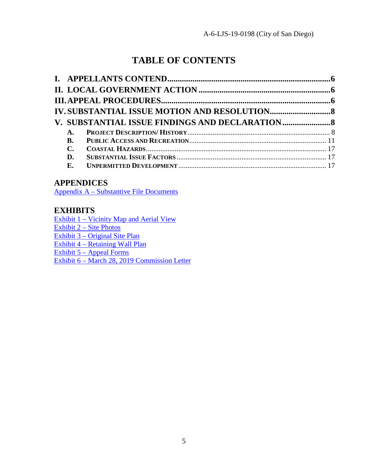# **TABLE OF CONTENTS**

| <b>A.</b>      |  |
|----------------|--|
| <b>B.</b>      |  |
| $\mathbf{C}$ . |  |
| D.             |  |
| E.             |  |
|                |  |

### **APPENDICES**

[Appendix A – Substantive File Documents](#page-18-0)

### **EXHIBITS**

[Exhibit 1 – Vicinity Map and Aerial View](https://documents.coastal.ca.gov/reports/2020/2/f18a/f18a-2-2020-exhibits.pdf)

[Exhibit 2 – Site Photos](https://documents.coastal.ca.gov/reports/2020/2/f18a/f18a-2-2020-exhibits.pdf)

[Exhibit 3 – Original Site Plan](https://documents.coastal.ca.gov/reports/2020/2/f18a/f18a-2-2020-exhibits.pdf)

[Exhibit 4 – Retaining Wall Plan](https://documents.coastal.ca.gov/reports/2020/2/f18a/f18a-2-2020-exhibits.pdf)

[Exhibit 5 – Appeal Forms](https://documents.coastal.ca.gov/reports/2020/2/f18a/f18a-2-2020-exhibits.pdf) 

[Exhibit 6 – March 28, 2019 Commission Letter](https://documents.coastal.ca.gov/reports/2020/2/f18a/f18a-2-2020-exhibits.pdf)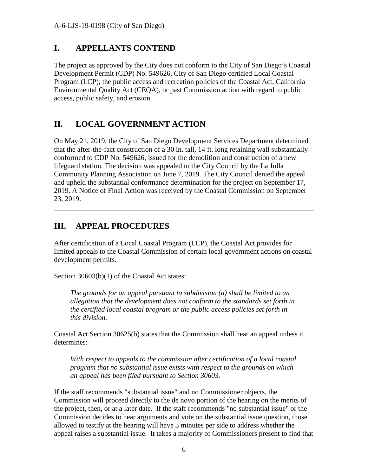$\overline{a}$ 

 $\overline{a}$ 

## <span id="page-5-0"></span>**I. APPELLANTS CONTEND**

The project as approved by the City does not conform to the City of San Diego's Coastal Development Permit (CDP) No. 549626, City of San Diego certified Local Coastal Program (LCP), the public access and recreation policies of the Coastal Act, California Environmental Quality Act (CEQA), or past Commission action with regard to public access, public safety, and erosion.

## <span id="page-5-1"></span>**II. LOCAL GOVERNMENT ACTION**

On May 21, 2019, the City of San Diego Development Services Department determined that the after-the-fact construction of a 30 in. tall, 14 ft. long retaining wall substantially conformed to CDP No. 549626, issued for the demolition and construction of a new lifeguard station. The decision was appealed to the City Council by the La Jolla Community Planning Association on June 7, 2019. The City Council denied the appeal and upheld the substantial conformance determination for the project on September 17, 2019. A Notice of Final Action was received by the Coastal Commission on September 23, 2019.

## <span id="page-5-2"></span>**III. APPEAL PROCEDURES**

After certification of a Local Coastal Program (LCP), the Coastal Act provides for limited appeals to the Coastal Commission of certain local government actions on coastal development permits.

Section 30603(b)(1) of the Coastal Act states:

*The grounds for an appeal pursuant to subdivision (a) shall be limited to an allegation that the development does not conform to the standards set forth in the certified local coastal program or the public access policies set forth in this division.*

Coastal Act Section 30625(b) states that the Commission shall hear an appeal unless it determines:

*With respect to appeals to the commission after certification of a local coastal program that no substantial issue exists with respect to the grounds on which an appeal has been filed pursuant to Section 30603.* 

If the staff recommends "substantial issue" and no Commissioner objects, the Commission will proceed directly to the de novo portion of the hearing on the merits of the project, then, or at a later date. If the staff recommends "no substantial issue" or the Commission decides to hear arguments and vote on the substantial issue question, those allowed to testify at the hearing will have 3 minutes per side to address whether the appeal raises a substantial issue. It takes a majority of Commissioners present to find that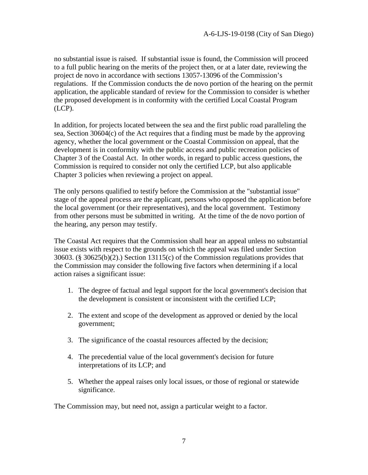no substantial issue is raised. If substantial issue is found, the Commission will proceed to a full public hearing on the merits of the project then, or at a later date, reviewing the project de novo in accordance with sections 13057-13096 of the Commission's regulations. If the Commission conducts the de novo portion of the hearing on the permit application, the applicable standard of review for the Commission to consider is whether the proposed development is in conformity with the certified Local Coastal Program (LCP).

In addition, for projects located between the sea and the first public road paralleling the sea, Section 30604(c) of the Act requires that a finding must be made by the approving agency, whether the local government or the Coastal Commission on appeal, that the development is in conformity with the public access and public recreation policies of Chapter 3 of the Coastal Act. In other words, in regard to public access questions, the Commission is required to consider not only the certified LCP, but also applicable Chapter 3 policies when reviewing a project on appeal.

The only persons qualified to testify before the Commission at the "substantial issue" stage of the appeal process are the applicant, persons who opposed the application before the local government (or their representatives), and the local government. Testimony from other persons must be submitted in writing. At the time of the de novo portion of the hearing, any person may testify.

The Coastal Act requires that the Commission shall hear an appeal unless no substantial issue exists with respect to the grounds on which the appeal was filed under Section 30603. (§ 30625(b)(2).) Section 13115(c) of the Commission regulations provides that the Commission may consider the following five factors when determining if a local action raises a significant issue:

- 1. The degree of factual and legal support for the local government's decision that the development is consistent or inconsistent with the certified LCP;
- 2. The extent and scope of the development as approved or denied by the local government;
- 3. The significance of the coastal resources affected by the decision;
- 4. The precedential value of the local government's decision for future interpretations of its LCP; and
- 5. Whether the appeal raises only local issues, or those of regional or statewide significance.

The Commission may, but need not, assign a particular weight to a factor.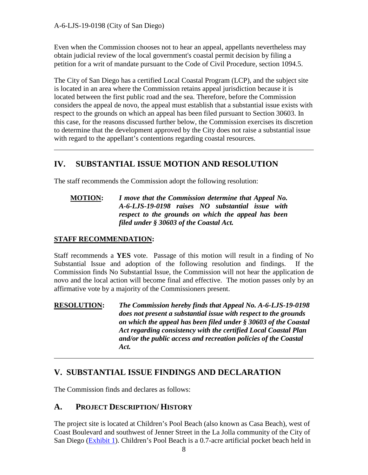Even when the Commission chooses not to hear an appeal, appellants nevertheless may obtain judicial review of the local government's coastal permit decision by filing a petition for a writ of mandate pursuant to the Code of Civil Procedure, section 1094.5.

The City of San Diego has a certified Local Coastal Program (LCP), and the subject site is located in an area where the Commission retains appeal jurisdiction because it is located between the first public road and the sea. Therefore, before the Commission considers the appeal de novo, the appeal must establish that a substantial issue exists with respect to the grounds on which an appeal has been filed pursuant to Section 30603. In this case, for the reasons discussed further below, the Commission exercises its discretion to determine that the development approved by the City does not raise a substantial issue with regard to the appellant's contentions regarding coastal resources.

# <span id="page-7-0"></span>**IV. SUBSTANTIAL ISSUE MOTION AND RESOLUTION**

The staff recommends the Commission adopt the following resolution:

### **MOTION:** *I move that the Commission determine that Appeal No. A-6-LJS-19-0198 raises NO substantial issue with respect to the grounds on which the appeal has been filed under § 30603 of the Coastal Act.*

### **STAFF RECOMMENDATION:**

 $\overline{a}$ 

Staff recommends a **YES** vote. Passage of this motion will result in a finding of No Substantial Issue and adoption of the following resolution and findings. If the Commission finds No Substantial Issue, the Commission will not hear the application de novo and the local action will become final and effective. The motion passes only by an affirmative vote by a majority of the Commissioners present.

**RESOLUTION:** *The Commission hereby finds that Appeal No. A-6-LJS-19-0198 does not present a substantial issue with respect to the grounds on which the appeal has been filed under § 30603 of the Coastal Act regarding consistency with the certified Local Coastal Plan and/or the public access and recreation policies of the Coastal Act.*  $\overline{a}$ 

## <span id="page-7-1"></span>**V. SUBSTANTIAL ISSUE FINDINGS AND DECLARATION**

The Commission finds and declares as follows:

## <span id="page-7-2"></span>**A. PROJECT DESCRIPTION/ HISTORY**

The project site is located at Children's Pool Beach (also known as Casa Beach), west of Coast Boulevard and southwest of Jenner Street in the La Jolla community of the City of San Diego [\(Exhibit 1\)](https://documents.coastal.ca.gov/reports/2020/2/f18a/f18a-2-2020-exhibits.pdf). Children's Pool Beach is a 0.7-acre artificial pocket beach held in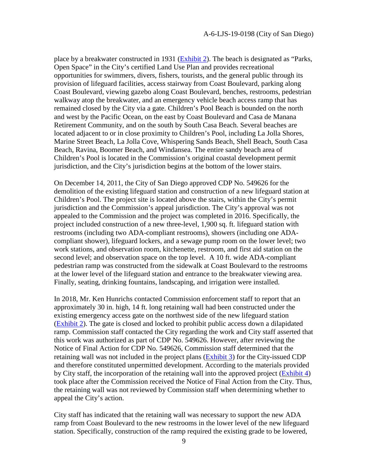place by a breakwater constructed in 1931 [\(Exhibit 2\)](https://documents.coastal.ca.gov/reports/2020/2/f18a/f18a-2-2020-exhibits.pdf). The beach is designated as "Parks, Open Space" in the City's certified Land Use Plan and provides recreational opportunities for swimmers, divers, fishers, tourists, and the general public through its provision of lifeguard facilities, access stairway from Coast Boulevard, parking along Coast Boulevard, viewing gazebo along Coast Boulevard, benches, restrooms, pedestrian walkway atop the breakwater, and an emergency vehicle beach access ramp that has remained closed by the City via a gate. Children's Pool Beach is bounded on the north and west by the Pacific Ocean, on the east by Coast Boulevard and Casa de Manana Retirement Community, and on the south by South Casa Beach. Several beaches are located adjacent to or in close proximity to Children's Pool, including La Jolla Shores, Marine Street Beach, La Jolla Cove, Whispering Sands Beach, Shell Beach, South Casa Beach, Ravina, Boomer Beach, and Windansea. The entire sandy beach area of Children's Pool is located in the Commission's original coastal development permit jurisdiction, and the City's jurisdiction begins at the bottom of the lower stairs.

On December 14, 2011, the City of San Diego approved CDP No. 549626 for the demolition of the existing lifeguard station and construction of a new lifeguard station at Children's Pool. The project site is located above the stairs, within the City's permit jurisdiction and the Commission's appeal jurisdiction. The City's approval was not appealed to the Commission and the project was completed in 2016. Specifically, the project included construction of a new three-level, 1,900 sq. ft. lifeguard station with restrooms (including two ADA-compliant restrooms), showers (including one ADAcompliant shower), lifeguard lockers, and a sewage pump room on the lower level; two work stations, and observation room, kitchenette, restroom, and first aid station on the second level; and observation space on the top level. A 10 ft. wide ADA-compliant pedestrian ramp was constructed from the sidewalk at Coast Boulevard to the restrooms at the lower level of the lifeguard station and entrance to the breakwater viewing area. Finally, seating, drinking fountains, landscaping, and irrigation were installed.

In 2018, Mr. Ken Hunrichs contacted Commission enforcement staff to report that an approximately 30 in. high, 14 ft. long retaining wall had been constructed under the existing emergency access gate on the northwest side of the new lifeguard station [\(Exhibit 2\)](https://documents.coastal.ca.gov/reports/2020/2/f18a/f18a-2-2020-exhibits.pdf). The gate is closed and locked to prohibit public access down a dilapidated ramp. Commission staff contacted the City regarding the work and City staff asserted that this work was authorized as part of CDP No. 549626. However, after reviewing the Notice of Final Action for CDP No. 549626, Commission staff determined that the retaining wall was not included in the project plans [\(Exhibit 3\)](https://documents.coastal.ca.gov/reports/2020/2/f18a/f18a-2-2020-exhibits.pdf) for the City-issued CDP and therefore constituted unpermitted development. According to the materials provided by City staff, the incorporation of the retaining wall into the approved project [\(Exhibit 4\)](https://documents.coastal.ca.gov/reports/2020/2/f18a/f18a-2-2020-exhibits.pdf) took place after the Commission received the Notice of Final Action from the City. Thus, the retaining wall was not reviewed by Commission staff when determining whether to appeal the City's action.

City staff has indicated that the retaining wall was necessary to support the new ADA ramp from Coast Boulevard to the new restrooms in the lower level of the new lifeguard station. Specifically, construction of the ramp required the existing grade to be lowered,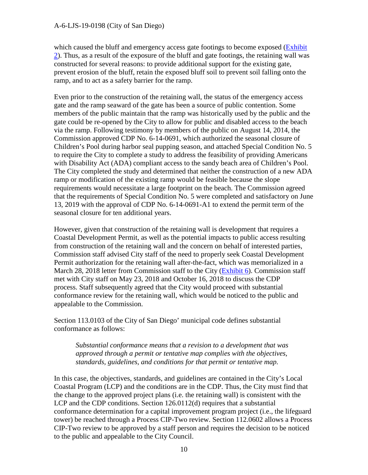which caused the bluff and emergency access gate footings to become exposed (Exhibit) [2\)](https://documents.coastal.ca.gov/reports/2020/2/f18a/f18a-2-2020-exhibits.pdf). Thus, as a result of the exposure of the bluff and gate footings, the retaining wall was constructed for several reasons: to provide additional support for the existing gate, prevent erosion of the bluff, retain the exposed bluff soil to prevent soil falling onto the ramp, and to act as a safety barrier for the ramp.

Even prior to the construction of the retaining wall, the status of the emergency access gate and the ramp seaward of the gate has been a source of public contention. Some members of the public maintain that the ramp was historically used by the public and the gate could be re-opened by the City to allow for public and disabled access to the beach via the ramp. Following testimony by members of the public on August 14, 2014, the Commission approved CDP No. 6-14-0691, which authorized the seasonal closure of Children's Pool during harbor seal pupping season, and attached Special Condition No. 5 to require the City to complete a study to address the feasibility of providing Americans with Disability Act (ADA) compliant access to the sandy beach area of Children's Pool. The City completed the study and determined that neither the construction of a new ADA ramp or modification of the existing ramp would be feasible because the slope requirements would necessitate a large footprint on the beach. The Commission agreed that the requirements of Special Condition No. 5 were completed and satisfactory on June 13, 2019 with the approval of CDP No. 6-14-0691-A1 to extend the permit term of the seasonal closure for ten additional years.

However, given that construction of the retaining wall is development that requires a Coastal Development Permit, as well as the potential impacts to public access resulting from construction of the retaining wall and the concern on behalf of interested parties, Commission staff advised City staff of the need to properly seek Coastal Development Permit authorization for the retaining wall after-the-fact, which was memorialized in a March 28, 2018 letter from Commission staff to the City [\(Exhibit 6\)](https://documents.coastal.ca.gov/reports/2020/2/f18a/f18a-2-2020-exhibits.pdf). Commission staff met with City staff on May 23, 2018 and October 16, 2018 to discuss the CDP process. Staff subsequently agreed that the City would proceed with substantial conformance review for the retaining wall, which would be noticed to the public and appealable to the Commission.

Section 113.0103 of the City of San Diego' municipal code defines substantial conformance as follows:

*Substantial conformance means that a revision to a development that was approved through a permit or tentative map complies with the objectives, standards, guidelines, and conditions for that permit or tentative map.* 

In this case, the objectives, standards, and guidelines are contained in the City's Local Coastal Program (LCP) and the conditions are in the CDP. Thus, the City must find that the change to the approved project plans (i.e. the retaining wall) is consistent with the LCP and the CDP conditions. Section 126.0112(d) requires that a substantial conformance determination for a capital improvement program project (i.e., the lifeguard tower) be reached through a Process CIP-Two review. Section 112.0602 allows a Process CIP-Two review to be approved by a staff person and requires the decision to be noticed to the public and appealable to the City Council.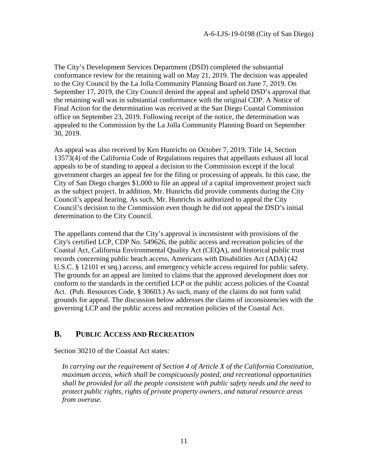The City's Development Services Department (DSD) completed the substantial conformance review for the retaining wall on May 21, 2019. The decision was appealed to the City Council by the La Jolla Community Planning Board on June 7, 2019. On September 17, 2019, the City Council denied the appeal and upheld DSD's approval that the retaining wall was in substantial conformance with the original CDP. A Notice of Final Action for the determination was received at the San Diego Coastal Commission office on September 23, 2019. Following receipt of the notice, the determination was appealed to the Commission by the La Jolla Community Planning Board on September 30, 2019.

An appeal was also received by Ken Hunrichs on October 7, 2019. Title 14, Section 13573(4) of the California Code of Regulations requires that appellants exhaust all local appeals to be of standing to appeal a decision to the Commission except if the local government charges an appeal fee for the filing or processing of appeals. In this case, the City of San Diego charges \$1,000 to file an appeal of a capital improvement project such as the subject project. In addition, Mr. Hunrichs did provide comments during the City Council's appeal hearing. As such, Mr. Hunrichs is authorized to appeal the City Council's decision to the Commission even though he did not appeal the DSD's initial determination to the City Council.

The appellants contend that the City's approval is inconsistent with provisions of the City's certified LCP, CDP No. 549626, the public access and recreation policies of the Coastal Act, California Environmental Quality Act (CEQA), and historical public trust records concerning public beach access, Americans with Disabilities Act (ADA) (42 U.S.C. § 12101 et seq.) access, and emergency vehicle access required for public safety. The grounds for an appeal are limited to claims that the approved development does not conform to the standards in the certified LCP or the public access policies of the Coastal Act. (Pub. Resources Code, § 30603.) As such, many of the claims do not form valid grounds for appeal. The discussion below addresses the claims of inconsistencies with the governing LCP and the public access and recreation policies of the Coastal Act.

### <span id="page-10-0"></span>**B. PUBLIC ACCESS AND RECREATION**

Section 30210 of the Coastal Act states:

*In carrying out the requirement of Section 4 of Article X of the California Constitution, maximum access, which shall be conspicuously posted, and recreational opportunities shall be provided for all the people consistent with public safety needs and the need to protect public rights, rights of private property owners, and natural resource areas from overuse.*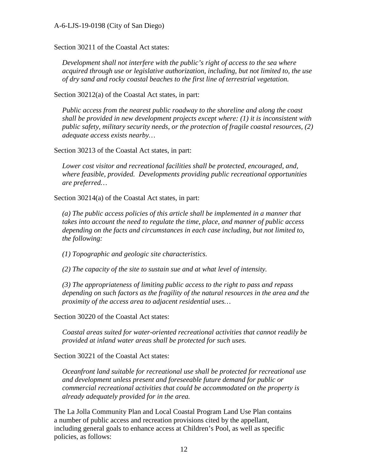Section 30211 of the Coastal Act states:

*Development shall not interfere with the public's right of access to the sea where acquired through use or legislative authorization, including, but not limited to, the use of dry sand and rocky coastal beaches to the first line of terrestrial vegetation.* 

Section 30212(a) of the Coastal Act states, in part:

*Public access from the nearest public roadway to the shoreline and along the coast shall be provided in new development projects except where: (1) it is inconsistent with public safety, military security needs, or the protection of fragile coastal resources, (2) adequate access exists nearby…* 

Section 30213 of the Coastal Act states, in part:

*Lower cost visitor and recreational facilities shall be protected, encouraged, and, where feasible, provided. Developments providing public recreational opportunities are preferred…*

Section 30214(a) of the Coastal Act states, in part:

*(a) The public access policies of this article shall be implemented in a manner that takes into account the need to regulate the time, place, and manner of public access depending on the facts and circumstances in each case including, but not limited to, the following:* 

*(1) Topographic and geologic site characteristics.* 

*(2) The capacity of the site to sustain sue and at what level of intensity.* 

*(3) The appropriateness of limiting public access to the right to pass and repass depending on such factors as the fragility of the natural resources in the area and the proximity of the access area to adjacent residential uses…* 

Section 30220 of the Coastal Act states:

*Coastal areas suited for water-oriented recreational activities that cannot readily be provided at inland water areas shall be protected for such uses.* 

Section 30221 of the Coastal Act states:

*Oceanfront land suitable for recreational use shall be protected for recreational use and development unless present and foreseeable future demand for public or commercial recreational activities that could be accommodated on the property is already adequately provided for in the area.* 

The La Jolla Community Plan and Local Coastal Program Land Use Plan contains a number of public access and recreation provisions cited by the appellant, including general goals to enhance access at Children's Pool, as well as specific policies, as follows: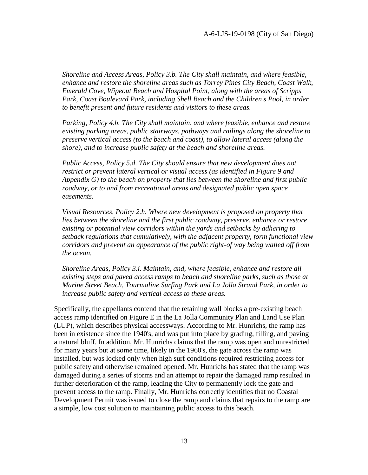*Shoreline and Access Areas, Policy 3.b. The City shall maintain, and where feasible, enhance and restore the shoreline areas such as Torrey Pines City Beach, Coast Walk, Emerald Cove, Wipeout Beach and Hospital Point, along with the areas of Scripps*  Park, Coast Boulevard Park, including Shell Beach and the Children's Pool, in order *to benefit present and future residents and visitors to these areas.* 

*Parking, Policy 4.b. The City shall maintain, and where feasible, enhance and restore existing parking areas, public stairways, pathways and railings along the shoreline to preserve vertical access (to the beach and coast), to allow lateral access (along the shore), and to increase public safety at the beach and shoreline areas.* 

*Public Access, Policy 5.d. The City should ensure that new development does not restrict or prevent lateral vertical or visual access (as identified in Figure 9 and Appendix G) to the beach on property that lies between the shoreline and first public roadway, or to and from recreational areas and designated public open space easements.*

*Visual Resources, Policy 2.h. Where new development is proposed on property that*  lies between the shoreline and the first public roadway, preserve, enhance or restore *existing or potential view corridors within the yards and setbacks by adhering to setback regulations that cumulatively, with the adjacent property, form functional view corridors and prevent an appearance of the public right-of way being walled off from the ocean.* 

*Shoreline Areas, Policy 3.i. Maintain, and, where feasible, enhance and restore all existing steps and paved access ramps to beach and shoreline parks, such as those at Marine Street Beach, Tourmaline Surfing Park and La Jolla Strand Park, in order to increase public safety and vertical access to these areas.* 

Specifically, the appellants contend that the retaining wall blocks a pre-existing beach access ramp identified on Figure E in the La Jolla Community Plan and Land Use Plan (LUP), which describes physical accessways. According to Mr. Hunrichs, the ramp has been in existence since the 1940's, and was put into place by grading, filling, and paving a natural bluff. In addition, Mr. Hunrichs claims that the ramp was open and unrestricted for many years but at some time, likely in the 1960's, the gate across the ramp was installed, but was locked only when high surf conditions required restricting access for public safety and otherwise remained opened. Mr. Hunrichs has stated that the ramp was damaged during a series of storms and an attempt to repair the damaged ramp resulted in further deterioration of the ramp, leading the City to permanently lock the gate and prevent access to the ramp. Finally, Mr. Hunrichs correctly identifies that no Coastal Development Permit was issued to close the ramp and claims that repairs to the ramp are a simple, low cost solution to maintaining public access to this beach.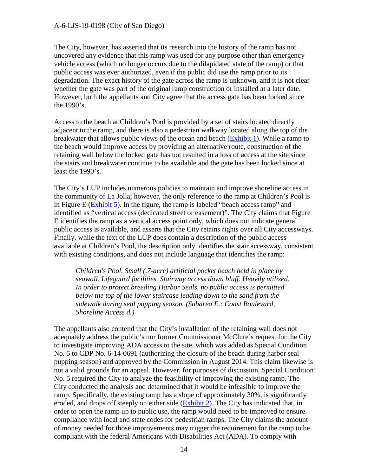The City, however, has asserted that its research into the history of the ramp has not uncovered any evidence that this ramp was used for any purpose other than emergency vehicle access (which no longer occurs due to the dilapidated state of the ramp) or that public access was ever authorized, even if the public did use the ramp prior to its degradation. The exact history of the gate across the ramp is unknown, and it is not clear whether the gate was part of the original ramp construction or installed at a later date. However, both the appellants and City agree that the access gate has been locked since the 1990's.

Access to the beach at Children's Pool is provided by a set of stairs located directly adjacent to the ramp, and there is also a pedestrian walkway located along the top of the breakwater that allows public views of the ocean and beach [\(Exhibit 1\)](https://documents.coastal.ca.gov/reports/2020/2/f18a/f18a-2-2020-exhibits.pdf). While a ramp to the beach would improve access by providing an alternative route, construction of the retaining wall below the locked gate has not resulted in a loss of access at the site since the stairs and breakwater continue to be available and the gate has been locked since at least the 1990's.

The City's LUP includes numerous policies to maintain and improve shoreline access in the community of La Jolla; however, the only reference to the ramp at Children's Pool is in Figure E ( $\overline{Exhibit 5}$ ). In the figure, the ramp is labeled "beach access ramp" and identified as "vertical access (dedicated street or easement)". The City claims that Figure E identifies the ramp as a vertical access point only, which does not indicate general public access is available, and asserts that the City retains rights over all City accessways. Finally, while the text of the LUP does contain a description of the public access available at Children's Pool, the description only identifies the stair accessway, consistent with existing conditions, and does not include language that identifies the ramp:

*Children's Pool. Small (.7-acre) artificial pocket beach held in place by seawall. Lifeguard facilities. Stairway access down bluff. Heavily utilized. In order to protect breeding Harbor Seals, no public access is permitted below the top of the lower staircase leading down to the sand from the sidewalk during seal pupping season. (Subarea E.: Coast Boulevard, Shoreline Access d.)* 

The appellants also contend that the City's installation of the retaining wall does not adequately address the public's nor former Commissioner McClure's request for the City to investigate improving ADA access to the site, which was added as Special Condition No. 5 to CDP No. 6-14-0691 (authorizing the closure of the beach during harbor seal pupping season) and approved by the Commission in August 2014. This claim likewise is not a valid grounds for an appeal. However, for purposes of discussion, Special Condition No. 5 required the City to analyze the feasibility of improving the existing ramp. The City conducted the analysis and determined that it would be infeasible to improve the ramp. Specifically, the existing ramp has a slope of approximately 30%, is significantly eroded, and drops off steeply on either side [\(Exhibit 2\)](https://documents.coastal.ca.gov/reports/2020/2/f18a/f18a-2-2020-exhibits.pdf). The City has indicated that, in order to open the ramp up to public use, the ramp would need to be improved to ensure compliance with local and state codes for pedestrian ramps. The City claims the amount of money needed for those improvements may trigger the requirement for the ramp to be compliant with the federal Americans with Disabilities Act (ADA). To comply with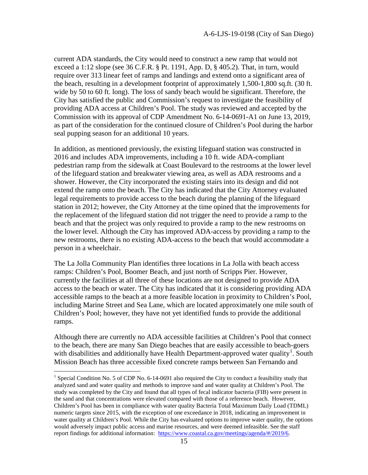current ADA standards, the City would need to construct a new ramp that would not exceed a 1:12 slope (see 36 C.F.R. § Pt. 1191, App. D, § 405.2). That, in turn, would require over 313 linear feet of ramps and landings and extend onto a significant area of the beach, resulting in a development footprint of approximately 1,500-1,800 sq.ft. (30 ft. wide by 50 to 60 ft. long). The loss of sandy beach would be significant. Therefore, the City has satisfied the public and Commission's request to investigate the feasibility of providing ADA access at Children's Pool. The study was reviewed and accepted by the Commission with its approval of CDP Amendment No. 6-14-0691-A1 on June 13, 2019, as part of the consideration for the continued closure of Children's Pool during the harbor seal pupping season for an additional 10 years.

In addition, as mentioned previously, the existing lifeguard station was constructed in 2016 and includes ADA improvements, including a 10 ft. wide ADA-compliant pedestrian ramp from the sidewalk at Coast Boulevard to the restrooms at the lower level of the lifeguard station and breakwater viewing area, as well as ADA restrooms and a shower. However, the City incorporated the existing stairs into its design and did not extend the ramp onto the beach. The City has indicated that the City Attorney evaluated legal requirements to provide access to the beach during the planning of the lifeguard station in 2012; however, the City Attorney at the time opined that the improvements for the replacement of the lifeguard station did not trigger the need to provide a ramp to the beach and that the project was only required to provide a ramp to the new restrooms on the lower level. Although the City has improved ADA-access by providing a ramp to the new restrooms, there is no existing ADA-access to the beach that would accommodate a person in a wheelchair.

The La Jolla Community Plan identifies three locations in La Jolla with beach access ramps: Children's Pool, Boomer Beach, and just north of Scripps Pier. However, currently the facilities at all three of these locations are not designed to provide ADA access to the beach or water. The City has indicated that it is considering providing ADA accessible ramps to the beach at a more feasible location in proximity to Children's Pool, including Marine Street and Sea Lane, which are located approximately one mile south of Children's Pool; however, they have not yet identified funds to provide the additional ramps.

Although there are currently no ADA accessible facilities at Children's Pool that connect to the beach, there are many San Diego beaches that are easily accessible to beach-goers with disabilities and additionally have Health Department-approved water quality<sup>[1](#page-14-0)</sup>. South Mission Beach has three accessible fixed concrete ramps between San Fernando and

 $\overline{a}$ 

<span id="page-14-0"></span><sup>&</sup>lt;sup>1</sup> Special Condition No. 5 of CDP No. 6-14-0691 also required the City to conduct a feasibility study that analyzed sand and water quality and methods to improve sand and water quality at Children's Pool. The study was completed by the City and found that all types of fecal indicator bacteria (FIB) were present in the sand and that concentrations were elevated compared with those of a reference beach. However, Children's Pool has been in compliance with water quality Bacteria Total Maximum Daily Load (TDML) numeric targets since 2015, with the exception of one exceedance in 2018, indicating an improvement in water quality at Children's Pool. While the City has evaluated options to improve water quality, the options would adversely impact public access and marine resources, and were deemed infeasible. See the staff report findings for additional information: [https://www.coastal.ca.gov/meetings/agenda/#/2019/6.](https://www.coastal.ca.gov/meetings/agenda/#/2019/6)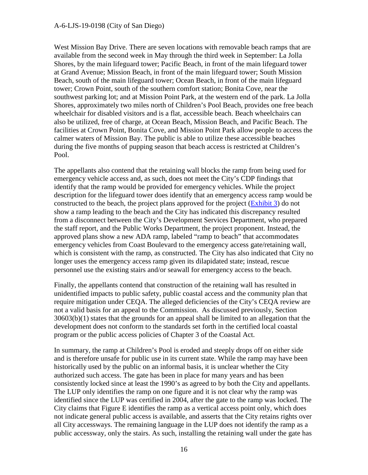West Mission Bay Drive. There are seven locations with removable beach ramps that are available from the second week in May through the third week in September: La Jolla Shores, by the main lifeguard tower; Pacific Beach, in front of the main lifeguard tower at Grand Avenue; Mission Beach, in front of the main lifeguard tower; South Mission Beach, south of the main lifeguard tower; Ocean Beach, in front of the main lifeguard tower; Crown Point, south of the southern comfort station; Bonita Cove, near the southwest parking lot; and at Mission Point Park, at the western end of the park. La Jolla Shores, approximately two miles north of Children's Pool Beach, provides one free beach wheelchair for disabled visitors and is a flat, accessible beach. Beach wheelchairs can also be utilized, free of charge, at Ocean Beach, Mission Beach, and Pacific Beach. The facilities at Crown Point, Bonita Cove, and Mission Point Park allow people to access the calmer waters of Mission Bay. The public is able to utilize these accessible beaches during the five months of pupping season that beach access is restricted at Children's Pool.

The appellants also contend that the retaining wall blocks the ramp from being used for emergency vehicle access and, as such, does not meet the City's CDP findings that identify that the ramp would be provided for emergency vehicles. While the project description for the lifeguard tower does identify that an emergency access ramp would be constructed to the beach, the project plans approved for the project [\(Exhibit 3\)](https://documents.coastal.ca.gov/reports/2020/2/f18a/f18a-2-2020-exhibits.pdf) do not show a ramp leading to the beach and the City has indicated this discrepancy resulted from a disconnect between the City's Development Services Department, who prepared the staff report, and the Public Works Department, the project proponent. Instead, the approved plans show a new ADA ramp, labeled "ramp to beach" that accommodates emergency vehicles from Coast Boulevard to the emergency access gate/retaining wall, which is consistent with the ramp, as constructed. The City has also indicated that City no longer uses the emergency access ramp given its dilapidated state; instead, rescue personnel use the existing stairs and/or seawall for emergency access to the beach.

Finally, the appellants contend that construction of the retaining wall has resulted in unidentified impacts to public safety, public coastal access and the community plan that require mitigation under CEQA. The alleged deficiencies of the City's CEQA review are not a valid basis for an appeal to the Commission. As discussed previously, Section 30603(b)(1) states that the grounds for an appeal shall be limited to an allegation that the development does not conform to the standards set forth in the certified local coastal program or the public access policies of Chapter 3 of the Coastal Act.

In summary, the ramp at Children's Pool is eroded and steeply drops off on either side and is therefore unsafe for public use in its current state. While the ramp may have been historically used by the public on an informal basis, it is unclear whether the City authorized such access. The gate has been in place for many years and has been consistently locked since at least the 1990's as agreed to by both the City and appellants. The LUP only identifies the ramp on one figure and it is not clear why the ramp was identified since the LUP was certified in 2004, after the gate to the ramp was locked. The City claims that Figure E identifies the ramp as a vertical access point only, which does not indicate general public access is available, and asserts that the City retains rights over all City accessways. The remaining language in the LUP does not identify the ramp as a public accessway, only the stairs. As such, installing the retaining wall under the gate has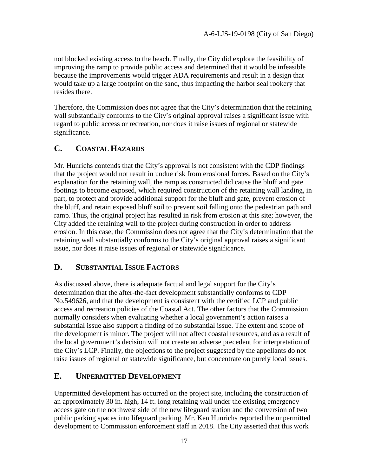not blocked existing access to the beach. Finally, the City did explore the feasibility of improving the ramp to provide public access and determined that it would be infeasible because the improvements would trigger ADA requirements and result in a design that would take up a large footprint on the sand, thus impacting the harbor seal rookery that resides there.

Therefore, the Commission does not agree that the City's determination that the retaining wall substantially conforms to the City's original approval raises a significant issue with regard to public access or recreation, nor does it raise issues of regional or statewide significance.

### <span id="page-16-0"></span>**C. COASTAL HAZARDS**

Mr. Hunrichs contends that the City's approval is not consistent with the CDP findings that the project would not result in undue risk from erosional forces. Based on the City's explanation for the retaining wall, the ramp as constructed did cause the bluff and gate footings to become exposed, which required construction of the retaining wall landing, in part, to protect and provide additional support for the bluff and gate, prevent erosion of the bluff, and retain exposed bluff soil to prevent soil falling onto the pedestrian path and ramp. Thus, the original project has resulted in risk from erosion at this site; however, the City added the retaining wall to the project during construction in order to address erosion. In this case, the Commission does not agree that the City's determination that the retaining wall substantially conforms to the City's original approval raises a significant issue, nor does it raise issues of regional or statewide significance.

### <span id="page-16-1"></span>**D. SUBSTANTIAL ISSUE FACTORS**

As discussed above, there is adequate factual and legal support for the City's determination that the after-the-fact development substantially conforms to CDP No.549626, and that the development is consistent with the certified LCP and public access and recreation policies of the Coastal Act. The other factors that the Commission normally considers when evaluating whether a local government's action raises a substantial issue also support a finding of no substantial issue. The extent and scope of the development is minor. The project will not affect coastal resources, and as a result of the local government's decision will not create an adverse precedent for interpretation of the City's LCP. Finally, the objections to the project suggested by the appellants do not raise issues of regional or statewide significance, but concentrate on purely local issues.

### <span id="page-16-2"></span>**E. UNPERMITTED DEVELOPMENT**

Unpermitted development has occurred on the project site, including the construction of an approximately 30 in. high, 14 ft. long retaining wall under the existing emergency access gate on the northwest side of the new lifeguard station and the conversion of two public parking spaces into lifeguard parking. Mr. Ken Hunrichs reported the unpermitted development to Commission enforcement staff in 2018. The City asserted that this work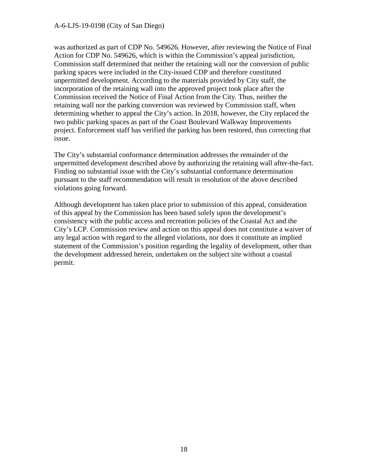was authorized as part of CDP No. 549626. However, after reviewing the Notice of Final Action for CDP No. 549626, which is within the Commission's appeal jurisdiction, Commission staff determined that neither the retaining wall nor the conversion of public parking spaces were included in the City-issued CDP and therefore constituted unpermitted development. According to the materials provided by City staff, the incorporation of the retaining wall into the approved project took place after the Commission received the Notice of Final Action from the City. Thus, neither the retaining wall nor the parking conversion was reviewed by Commission staff, when determining whether to appeal the City's action. In 2018, however, the City replaced the two public parking spaces as part of the Coast Boulevard Walkway Improvements project. Enforcement staff has verified the parking has been restored, thus correcting that issue.

The City's substantial conformance determination addresses the remainder of the unpermitted development described above by authorizing the retaining wall after-the-fact. Finding no substantial issue with the City's substantial conformance determination pursuant to the staff recommendation will result in resolution of the above described violations going forward.

Although development has taken place prior to submission of this appeal, consideration of this appeal by the Commission has been based solely upon the development's consistency with the public access and recreation policies of the Coastal Act and the City's LCP. Commission review and action on this appeal does not constitute a waiver of any legal action with regard to the alleged violations, nor does it constitute an implied statement of the Commission's position regarding the legality of development, other than the development addressed herein, undertaken on the subject site without a coastal permit.